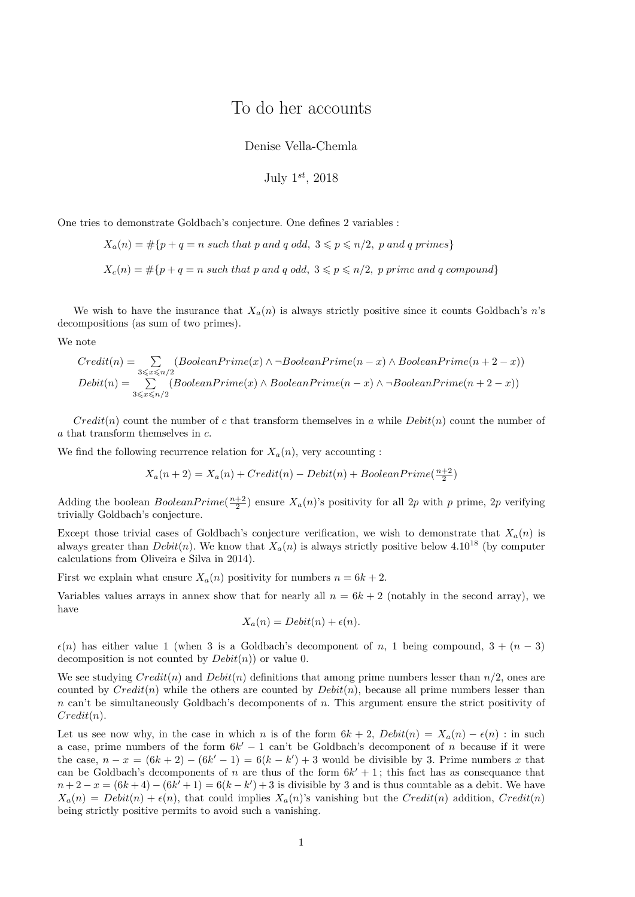## To do her accounts

Denise Vella-Chemla

July 1 *st*, 2018

One tries to demonstrate Goldbach's conjecture. One defines 2 variables :

 $X_a(n) = \#\{p + q = n \text{ such that } p \text{ and } q \text{ odd}, 3 \leqslant p \leqslant n/2, p \text{ and } q \text{ primes}\}$ 

 $X_c(n) = \#\{p + q = n \text{ such that } p \text{ and } q \text{ odd}, 3 \leqslant p \leqslant n/2, p \text{ prime and } q \text{ compound}\}$ 

We wish to have the insurance that  $X_a(n)$  is always strictly positive since it counts Goldbach's *n*'s decompositions (as sum of two primes).

We note

$$
Credit(n) = \sum_{3 \leq x \leq n/2} (BooleanPrime(x) \land \neg BooleanPrime(n-x) \land BooleanPrime(n+2-x))
$$
  
Debit(n) = 
$$
\sum_{3 \leq x \leq n/2} (BooleanPrime(x) \land BooleanPrime(n-x) \land \neg BooleanPrime(n+2-x))
$$

*Credit*(*n*) count the number of *c* that transform themselves in *a* while  $Debit(n)$  count the number of *a* that transform themselves in *c*.

We find the following recurrence relation for  $X_a(n)$ , very accounting :

$$
X_a(n+2) = X_a(n) + Credit(n) - Debit(n) + BooleanPrime(\frac{n+2}{2})
$$

Adding the boolean *BooleanPrime*( $\frac{n+2}{2}$ ) ensure  $X_a(n)$ 's positivity for all 2*p* with *p* prime, 2*p* verifying trivially Goldbach's conjecture.

Except those trivial cases of Goldbach's conjecture verification, we wish to demonstrate that  $X_a(n)$  is always greater than  $Debit(n)$ . We know that  $X_a(n)$  is always strictly positive below 4.10<sup>18</sup> (by computer calculations from Oliveira e Silva in 2014).

First we explain what ensure  $X_a(n)$  positivity for numbers  $n = 6k + 2$ .

Variables values arrays in annex show that for nearly all  $n = 6k + 2$  (notably in the second array), we have

$$
X_a(n) = Debit(n) + \epsilon(n).
$$

 $\epsilon(n)$  has either value 1 (when 3 is a Goldbach's decomponent of *n*, 1 being compound, 3 +  $(n-3)$ decomposition is not counted by *Debit*(*n*)) or value 0.

We see studying  $Credit(n)$  and  $Debit(n)$  definitions that among prime numbers lesser than  $n/2$ , ones are counted by  $Credit(n)$  while the others are counted by  $Debit(n)$ , because all prime numbers lesser than *n* can't be simultaneously Goldbach's decomponents of *n*. This argument ensure the strict positivity of *Credit*(*n*).

Let us see now why, in the case in which *n* is of the form  $6k + 2$ ,  $Debit(n) = X<sub>a</sub>(n) - \epsilon(n)$ : in such a case, prime numbers of the form  $6k' - 1$  can't be Goldbach's decomponent of *n* because if it were the case,  $n - x = (6k + 2) - (6k' - 1) = 6(k - k') + 3$  would be divisible by 3. Prime numbers *x* that can be Goldbach's decomponents of *n* are thus of the form  $6k' + 1$ ; this fact has as consequance that  $n+2-x = (6k+4) - (6k'+1) = 6(k-k') + 3$  is divisible by 3 and is thus countable as a debit. We have  $X_a(n) = Debit(n) + \epsilon(n)$ , that could implies  $X_a(n)$ 's vanishing but the *Credit*(*n*) addition, *Credit*(*n*) being strictly positive permits to avoid such a vanishing.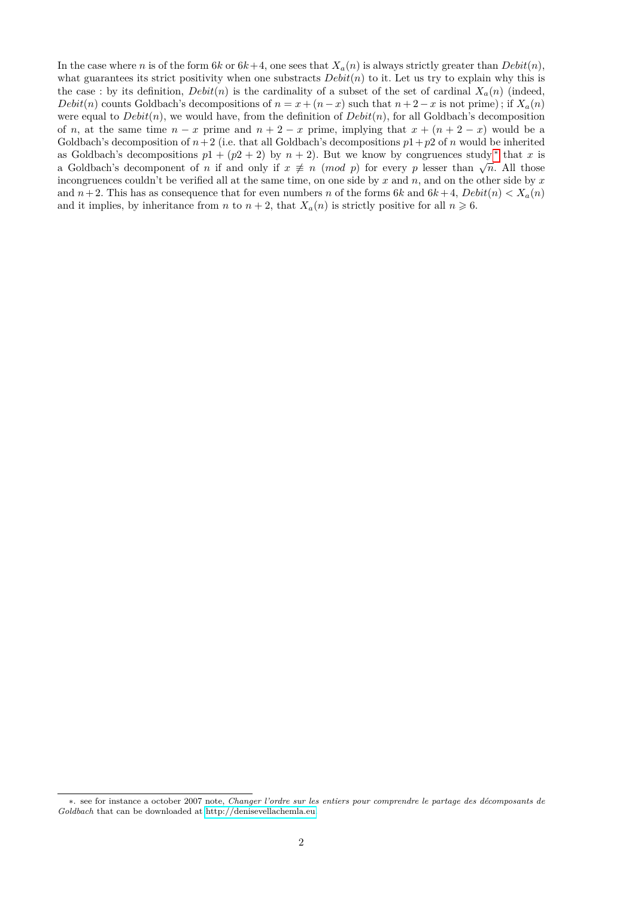In the case where *n* is of the form 6*k* or  $6k+4$ , one sees that  $X_a(n)$  is always strictly greater than  $Debit(n)$ , what guarantees its strict positivity when one substracts  $Debit(n)$  to it. Let us try to explain why this is the case : by its definition,  $Debit(n)$  is the cardinality of a subset of the set of cardinal  $X_a(n)$  (indeed, *Debit*(*n*) counts Goldbach's decompositions of  $n = x + (n - x)$  such that  $n + 2 - x$  is not prime); if  $X_a(n)$ were equal to  $Debit(n)$ , we would have, from the definition of  $Debit(n)$ , for all Goldbach's decomposition of *n*, at the same time  $n - x$  prime and  $n + 2 - x$  prime, implying that  $x + (n + 2 - x)$  would be a Goldbach's decomposition of  $n+2$  (i.e. that all Goldbach's decompositions  $p1+p2$  of *n* would be inherited as Goldbach's decompositions  $p1 + (p2 + 2)$  by  $n + 2$ ). But we know by congruences study \* that *x* is as Goldbach's decompositions  $p_1 + (p_2 + 2)$  by  $n + 2$ ). But we know by congruences study that x is<br>a Goldbach's decomponent of *n* if and only if  $x \neq n \pmod{p}$  for every *p* lesser than  $\sqrt{n}$ . All those incongruences couldn't be verified all at the same time, on one side by *x* and *n*, and on the other side by *x* and  $n+2$ . This has as consequence that for even numbers *n* of the forms 6*k* and  $6k+4$ ,  $Debit(n) < X<sub>a</sub>(n)$ and it implies, by inheritance from *n* to  $n + 2$ , that  $X_a(n)$  is strictly positive for all  $n \ge 6$ .

<span id="page-1-0"></span><sup>∗</sup>. see for instance a october 2007 note, *Changer l'ordre sur les entiers pour comprendre le partage des décomposants de Goldbach* that can be downloaded at [http://denisevellachemla.eu.](http://denisevellachemla.eu)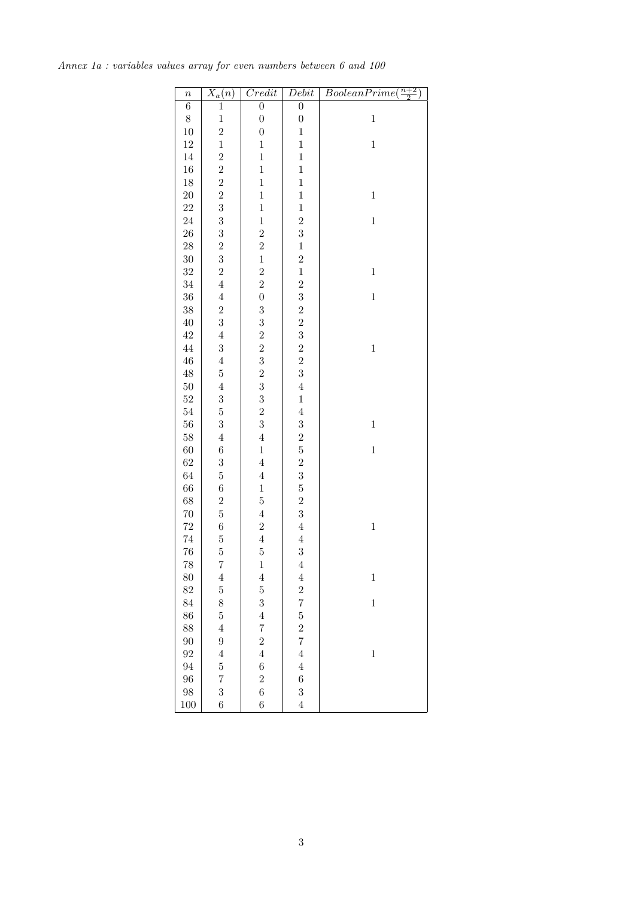| $\boldsymbol{n}$ | $\overline{X_a}(n)$     | Credit                                            | Debit                                      | BooleanPrime<br>$\frac{n+2}{2}$ |
|------------------|-------------------------|---------------------------------------------------|--------------------------------------------|---------------------------------|
| $\overline{6}$   | $\mathbf 1$             | $\overline{0}$                                    | $\overline{0}$                             |                                 |
| 8                | $\mathbf{1}$            | $\boldsymbol{0}$                                  | $\boldsymbol{0}$                           | $\,1$                           |
| $10\,$           | $\overline{\mathbf{c}}$ | $\boldsymbol{0}$                                  | $\mathbf{1}$                               |                                 |
| $12\,$           | $\mathbf{1}$            | $\mathbf{1}$                                      | $\mathbf{1}$                               | $\mathbf{1}$                    |
| 14               | $\overline{c}$          | $\mathbf{1}$                                      | $\mathbf{1}$                               |                                 |
| 16               | $\overline{c}$          | $\mathbf{1}$                                      | $\mathbf{1}$                               |                                 |
| 18               | $\overline{c}$          | $\mathbf{1}$                                      | $\mathbf{1}$                               |                                 |
| $20\,$           | $\overline{2}$          | $\mathbf{1}$                                      | $\mathbf{1}$                               | $\,1$                           |
| 22               | 3                       | $\mathbf{1}$                                      | $\mathbf{1}$                               |                                 |
| 24               | $\boldsymbol{3}$        | $\mathbf{1}$                                      |                                            | $\mathbf{1}$                    |
| $26\,$           | 3                       | $\overline{2}$                                    | $\frac{2}{3}$                              |                                 |
| $28\,$           | $\overline{\mathbf{c}}$ | $\overline{2}$                                    | $\mathbf{1}$                               |                                 |
| $30\,$           | $\overline{3}$          | $\mathbf{1}$                                      | $\overline{2}$                             |                                 |
| $32\,$           | $\overline{2}$          | $\overline{2}$                                    | $\mathbf{1}$                               | $\,1$                           |
| 34               | $\overline{4}$          | $\overline{2}$                                    | $\overline{2}$                             |                                 |
| 36               | $\overline{4}$          | $\overline{0}$                                    | 3                                          | $\mathbf{1}$                    |
| $38\,$           | $\overline{2}$          | 3                                                 | $\overline{2}$                             |                                 |
| $40\,$           | 3                       | 3                                                 | $\overline{2}$                             |                                 |
| $42\,$           | $\overline{4}$          |                                                   |                                            |                                 |
| 44               | 3                       | $\begin{smallmatrix}2&&2\&3\2&3\end{smallmatrix}$ | $\frac{3}{2}$                              | $\mathbf{1}$                    |
| $\sqrt{46}$      | $\overline{4}$          |                                                   |                                            |                                 |
| $48\,$           | $\mathbf 5$             |                                                   | $\frac{2}{3}$                              |                                 |
| $50\,$           | $\overline{4}$          |                                                   | $\overline{4}$                             |                                 |
| $52\,$           | 3                       | 3                                                 | $\mathbf{1}$                               |                                 |
| $54\,$           | $\overline{5}$          |                                                   | $\overline{4}$                             |                                 |
| 56               | 3                       | $\frac{2}{3}$                                     | 3                                          | $\mathbf{1}$                    |
| 58               | $\overline{4}$          | $\overline{4}$                                    |                                            |                                 |
| 60               | $\,6$                   | $\mathbf{1}$                                      | $\frac{2}{5}$                              | $\mathbf{1}$                    |
| 62               | 3                       | $\overline{4}$                                    |                                            |                                 |
| 64               | $\overline{5}$          | $\overline{4}$                                    | $\begin{array}{c} 2 \\ 3 \\ 5 \end{array}$ |                                 |
| 66               | $\,$ 6 $\,$             | $\mathbf{1}$                                      |                                            |                                 |
| 68               | $\overline{2}$          | $\overline{5}$                                    | $\overline{2}$                             |                                 |
| $70\,$           | $\overline{5}$          | $\overline{4}$                                    | 3                                          |                                 |
| 72               | $\,$ 6 $\,$             | $\overline{2}$                                    | $\overline{4}$                             | $\mathbf{1}$                    |
| $74\,$           | $\overline{5}$          | $\overline{4}$                                    | $\overline{4}$                             |                                 |
| 76               | $\overline{5}$          | $\overline{5}$                                    | 3                                          |                                 |
| 78               | 7                       | $\mathbf{1}$                                      | $\overline{4}$                             |                                 |
| 80               | $\overline{4}$          | $\overline{4}$                                    | $\overline{4}$                             | $\mathbf{1}$                    |
| 82               | $\overline{5}$          | $\overline{5}$                                    | $\overline{2}$                             |                                 |
| 84               | 8                       | 3                                                 | $\overline{7}$                             | $\mathbf{1}$                    |
| 86               | $\overline{5}$          | $\overline{4}$                                    | $\overline{5}$                             |                                 |
| 88               | $\overline{4}$          | $\overline{7}$                                    | $\overline{2}$                             |                                 |
| 90               | $\boldsymbol{9}$        | $\overline{c}$                                    | $\overline{7}$                             |                                 |
| 92               | $\overline{4}$          | $\overline{4}$                                    | $\overline{4}$                             | $\mathbf{1}$                    |
| 94               | $\overline{5}$          | $\boldsymbol{6}$                                  | $\overline{4}$                             |                                 |
| 96               | $\overline{7}$          | $\overline{c}$                                    | $\boldsymbol{6}$                           |                                 |
| 98               | 3                       | $\overline{6}$                                    | 3                                          |                                 |
| 100              | 6                       | $\sqrt{6}$                                        | $\overline{4}$                             |                                 |

*Annex 1a : variables values array for even numbers between 6 and 100*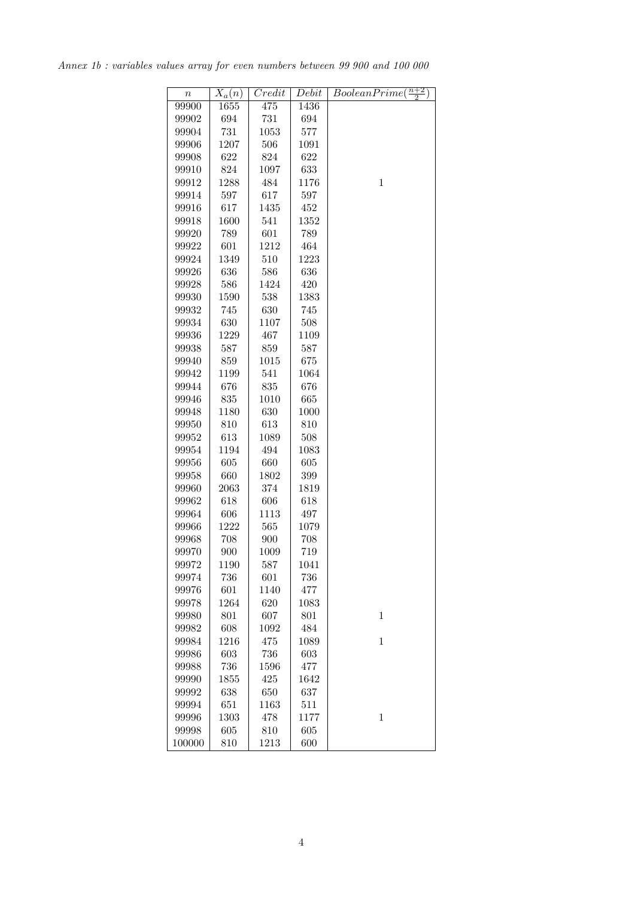*Annex 1b : variables values array for even numbers between 99 900 and 100 000*

| $\it n$ | $X_a(n)$ | $\overline{Credit}$ | Debit | $\frac{n+2}{2}$<br>BooleanPrime( |
|---------|----------|---------------------|-------|----------------------------------|
| 99900   | 1655     | 475                 | 1436  |                                  |
| 99902   | 694      | 731                 | 694   |                                  |
| 99904   | 731      | 1053                | 577   |                                  |
| 99906   | 1207     | 506                 | 1091  |                                  |
| 99908   |          |                     |       |                                  |
|         | 622      | 824                 | 622   |                                  |
| 99910   | 824      | 1097                | 633   |                                  |
| 99912   | 1288     | 484                 | 1176  | $\mathbf{1}$                     |
| 99914   | 597      | 617                 | 597   |                                  |
| 99916   | 617      | 1435                | 452   |                                  |
| 99918   | 1600     | 541                 | 1352  |                                  |
| 99920   | 789      | 601                 | 789   |                                  |
| 99922   | 601      | 1212                | 464   |                                  |
| 99924   | 1349     | 510                 | 1223  |                                  |
| 99926   | 636      | 586                 | 636   |                                  |
| 99928   | 586      | 1424                | 420   |                                  |
| 99930   | 1590     | 538                 | 1383  |                                  |
| 99932   | 745      | 630                 | 745   |                                  |
| 99934   | 630      | 1107                | 508   |                                  |
| 99936   | 1229     | 467                 | 1109  |                                  |
| 99938   | 587      | 859                 | 587   |                                  |
| 99940   | 859      | 1015                | 675   |                                  |
| 99942   | 1199     | 541                 | 1064  |                                  |
| 99944   | 676      | 835                 | 676   |                                  |
| 99946   | 835      | 1010                | 665   |                                  |
| 99948   | 1180     | 630                 | 1000  |                                  |
| 99950   | 810      | 613                 | 810   |                                  |
| 99952   | 613      | 1089                | 508   |                                  |
| 99954   | 1194     | 494                 | 1083  |                                  |
| 99956   | 605      | 660                 | 605   |                                  |
| 99958   | 660      | 1802                | 399   |                                  |
| 99960   | 2063     | 374                 | 1819  |                                  |
| 99962   | 618      | 606                 | 618   |                                  |
| 99964   | 606      | 1113                | 497   |                                  |
| 99966   | 1222     | 565                 | 1079  |                                  |
| 99968   | 708      | 900                 | 708   |                                  |
| 99970   | 900      | 1009                | 719   |                                  |
| 99972   | 1190     | 587                 | 1041  |                                  |
| 99974   | 736      | 601                 | 736   |                                  |
| 99976   | 601      | 1140                | 477   |                                  |
| 99978   | 1264     | 620                 | 1083  |                                  |
| 99980   | 801      | 607                 | 801   | $\mathbf{1}$                     |
| 99982   | 608      | 1092                | 484   |                                  |
| 99984   | 1216     | 475                 | 1089  | $\mathbf{1}$                     |
| 99986   | 603      | 736                 | 603   |                                  |
| 99988   | 736      | 1596                | 477   |                                  |
| 99990   | 1855     | 425                 | 1642  |                                  |
| 99992   | 638      | 650                 | 637   |                                  |
| 99994   | 651      | 1163                | 511   |                                  |
| 99996   | 1303     | 478                 | 1177  | $\mathbf 1$                      |
| 99998   | 605      | 810                 | 605   |                                  |
| 100000  | 810      | 1213                | 600   |                                  |
|         |          |                     |       |                                  |